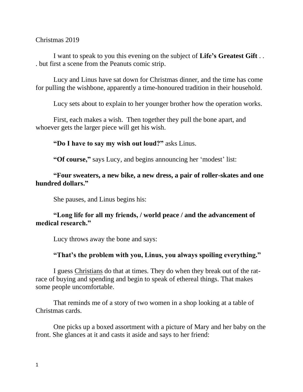#### Christmas 2019

I want to speak to you this evening on the subject of **Life's Greatest Gift** . . . but first a scene from the Peanuts comic strip.

Lucy and Linus have sat down for Christmas dinner, and the time has come for pulling the wishbone, apparently a time-honoured tradition in their household.

Lucy sets about to explain to her younger brother how the operation works.

First, each makes a wish. Then together they pull the bone apart, and whoever gets the larger piece will get his wish.

**"Do I have to say my wish out loud?"** asks Linus.

**"Of course,"** says Lucy, and begins announcing her 'modest' list:

# **"Four sweaters, a new bike, a new dress, a pair of roller-skates and one hundred dollars."**

She pauses, and Linus begins his:

# **"Long life for all my friends, / world peace / and the advancement of medical research."**

Lucy throws away the bone and says:

### **"That's the problem with you, Linus, you always spoiling everything."**

I guess Christians do that at times. They do when they break out of the ratrace of buying and spending and begin to speak of ethereal things. That makes some people uncomfortable.

That reminds me of a story of two women in a shop looking at a table of Christmas cards.

One picks up a boxed assortment with a picture of Mary and her baby on the front. She glances at it and casts it aside and says to her friend: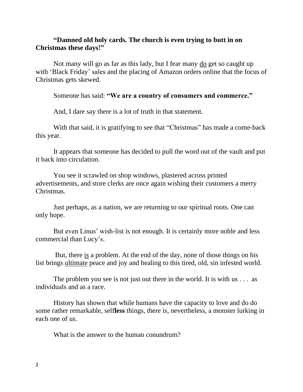# **"Damned old holy cards. The church is even trying to butt in on Christmas these days!"**

Not many will go as far as this lady, but I fear many do get so caught up with 'Black Friday' sales and the placing of Amazon orders online that the focus of Christmas gets skewed.

Someone has said: **"We are a country of consumers and commerce."**

And, I dare say there is a lot of truth in that statement.

With that said, it is gratifying to see that "Christmas" has made a come-back this year.

It appears that someone has decided to pull the word out of the vault and put it back into circulation.

You see it scrawled on shop windows, plastered across printed advertisements, and store clerks are once again wishing their customers a merry Christmas.

Just perhaps, as a nation, we are returning to our spiritual roots. One can only hope.

But even Linus' wish-list is not enough. It is certainly more noble and less commercial than Lucy's.

But, there is a problem. At the end of the day, none of those things on his list brings ultimate peace and joy and healing to this tired, old, sin infested world.

The problem you see is not just out there in the world. It is with us . . . as individuals and as a race.

History has shown that while humans have the capacity to love and do do some rather remarkable, self**less** things, there is, nevertheless, a monster lurking in each one of us.

What is the answer to the human conundrum?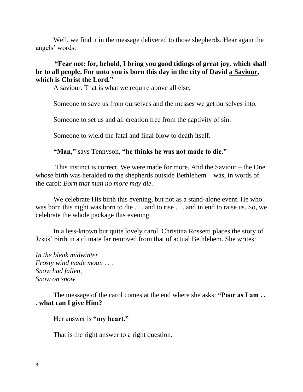Well, we find it in the message delivered to those shepherds. Hear again the angels' words:

# **"Fear not: for, behold, I bring you good tidings of great joy, which shall be to all people. For unto you is born this day in the city of David a Saviour, which is Christ the Lord."**

A saviour. That is what we require above all else.

Someone to save us from ourselves and the messes we get ourselves into.

Someone to set us and all creation free from the captivity of sin.

Someone to wield the fatal and final blow to death itself.

**"Man,"** says Tennyson, **"he thinks he was not made to die."**

This instinct is correct. We were made for more. And the Saviour – the One whose birth was heralded to the shepherds outside Bethlehem – was, in words of the carol: *Born that man no more may die.*

We celebrate His birth this evening, but not as a stand-alone event. He who was born this night was born to die . . . and to rise . . . and in end to raise us. So, we celebrate the whole package this evening.

In a less-known but quite lovely carol, Christina Rossetti places the story of Jesus' birth in a climate far removed from that of actual Bethlehem. She writes:

*In the bleak midwinter Frosty wind made moan . . . Snow had fallen, Snow on snow.*

The message of the carol comes at the end where she asks: **"Poor as I am . . . what can I give Him?**

Her answer is **"my heart."**

That is the right answer to a right question.